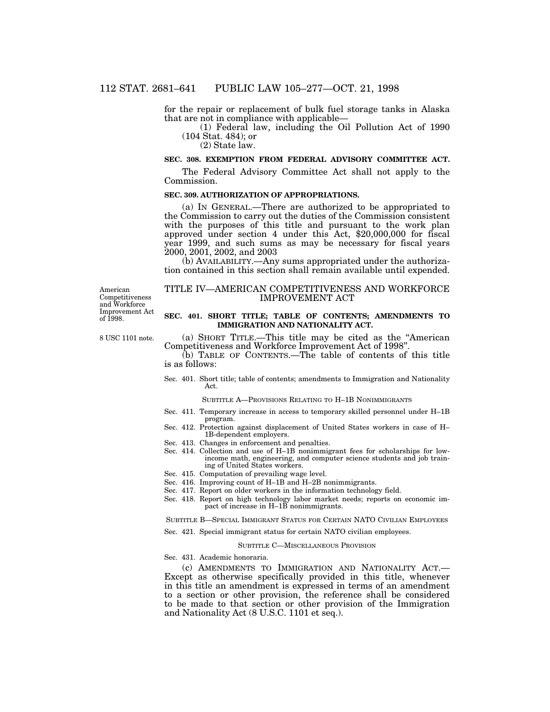for the repair or replacement of bulk fuel storage tanks in Alaska that are not in compliance with applicable—

(1) Federal law, including the Oil Pollution Act of 1990 (104 Stat. 484); or

(2) State law.

# **SEC. 308. EXEMPTION FROM FEDERAL ADVISORY COMMITTEE ACT.**

The Federal Advisory Committee Act shall not apply to the Commission.

### **SEC. 309. AUTHORIZATION OF APPROPRIATIONS.**

(a) IN GENERAL.—There are authorized to be appropriated to the Commission to carry out the duties of the Commission consistent with the purposes of this title and pursuant to the work plan approved under section 4 under this Act, \$20,000,000 for fiscal year 1999, and such sums as may be necessary for fiscal years 2000, 2001, 2002, and 2003

(b) AVAILABILITY.—Any sums appropriated under the authorization contained in this section shall remain available until expended.

American Competitiveness and Workforce Improvement Act of 1998.

8 USC 1101 note.

# TITLE IV—AMERICAN COMPETITIVENESS AND WORKFORCE IMPROVEMENT ACT

#### **SEC. 401. SHORT TITLE; TABLE OF CONTENTS; AMENDMENTS TO IMMIGRATION AND NATIONALITY ACT.**

(a) SHORT TITLE.—This title may be cited as the ''American Competitiveness and Workforce Improvement Act of 1998''.

(b) TABLE OF CONTENTS.—The table of contents of this title is as follows:

Sec. 401. Short title; table of contents; amendments to Immigration and Nationality Act.

SUBTITLE A—PROVISIONS RELATING TO H–1B NONIMMIGRANTS

- Sec. 411. Temporary increase in access to temporary skilled personnel under H–1B program.
- Sec. 412. Protection against displacement of United States workers in case of H– 1B-dependent employers.
- Sec. 413. Changes in enforcement and penalties.
- Sec. 414. Collection and use of H–1B nonimmigrant fees for scholarships for lowincome math, engineering, and computer science students and job training of United States workers.
- Sec. 415. Computation of prevailing wage level.
- Sec. 416. Improving count of H–1B and H–2B nonimmigrants.
- Sec. 417. Report on older workers in the information technology field.
- Sec. 418. Report on high technology labor market needs; reports on economic impact of increase in H–1B nonimmigrants.

SUBTITLE B—SPECIAL IMMIGRANT STATUS FOR CERTAIN NATO CIVILIAN EMPLOYEES

# Sec. 421. Special immigrant status for certain NATO civilian employees.

#### SUBTITLE C—MISCELLANEOUS PROVISION

Sec. 431. Academic honoraria.

(c) AMENDMENTS TO IMMIGRATION AND NATIONALITY ACT.— Except as otherwise specifically provided in this title, whenever in this title an amendment is expressed in terms of an amendment to a section or other provision, the reference shall be considered to be made to that section or other provision of the Immigration and Nationality Act (8 U.S.C. 1101 et seq.).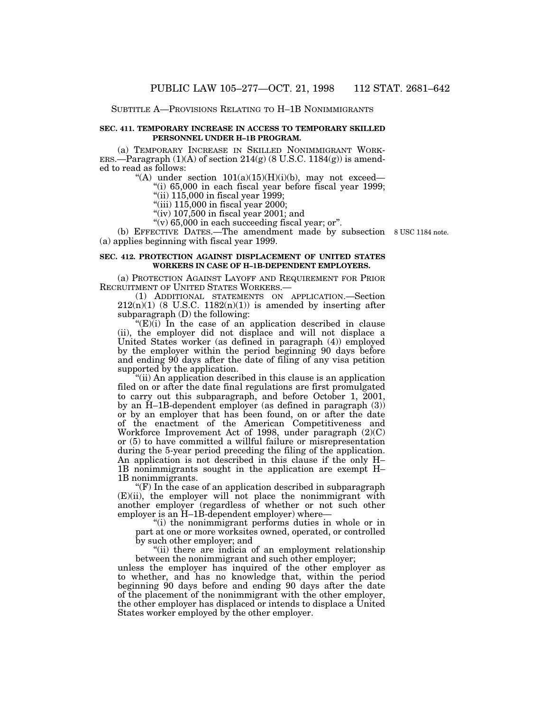#### SUBTITLE A—PROVISIONS RELATING TO H–1B NONIMMIGRANTS

### **SEC. 411. TEMPORARY INCREASE IN ACCESS TO TEMPORARY SKILLED PERSONNEL UNDER H–1B PROGRAM.**

(a) TEMPORARY INCREASE IN SKILLED NONIMMIGRANT WORK-ERS.—Paragraph  $(1)(A)$  of section  $214(g)$  (8 U.S.C. 1184 $(g)$ ) is amended to read as follows:

"(A) under section  $101(a)(15)(H)(i)(b)$ , may not exceed—

''(i) 65,000 in each fiscal year before fiscal year 1999; "(ii)  $115,000$  in fiscal year 1999;

"(iii)  $115,000$  in fiscal year  $2000$ ;

"(iv)  $107,500$  in fiscal year 2001; and

 $\tilde{f}(v)$  65,000 in each succeeding fiscal year; or".

(b) EFFECTIVE DATES.—The amendment made by subsection 8 USC 1184 note.(a) applies beginning with fiscal year 1999.

# **SEC. 412. PROTECTION AGAINST DISPLACEMENT OF UNITED STATES WORKERS IN CASE OF H–1B-DEPENDENT EMPLOYERS.**

(a) PROTECTION AGAINST LAYOFF AND REQUIREMENT FOR PRIOR RECRUITMENT OF UNITED STATES WORKERS.—

(1) ADDITIONAL STATEMENTS ON APPLICATION.—Section  $212(n)(1)$  (8 U.S.C.  $1182(n)(1)$ ) is amended by inserting after subparagraph (D) the following:

 $(E)$ (i) In the case of an application described in clause (ii), the employer did not displace and will not displace a United States worker (as defined in paragraph (4)) employed by the employer within the period beginning 90 days before and ending 90 days after the date of filing of any visa petition supported by the application.

''(ii) An application described in this clause is an application filed on or after the date final regulations are first promulgated to carry out this subparagraph, and before October 1, 2001, by an H–1B-dependent employer (as defined in paragraph (3)) or by an employer that has been found, on or after the date of the enactment of the American Competitiveness and Workforce Improvement Act of 1998, under paragraph (2)(C) or (5) to have committed a willful failure or misrepresentation during the 5-year period preceding the filing of the application. An application is not described in this clause if the only H– 1B nonimmigrants sought in the application are exempt H– 1B nonimmigrants.

"(F) In the case of an application described in subparagraph (E)(ii), the employer will not place the nonimmigrant with another employer (regardless of whether or not such other employer is an H–1B-dependent employer) where—

''(i) the nonimmigrant performs duties in whole or in part at one or more worksites owned, operated, or controlled by such other employer; and

"(ii) there are indicia of an employment relationship between the nonimmigrant and such other employer;

unless the employer has inquired of the other employer as to whether, and has no knowledge that, within the period beginning 90 days before and ending 90 days after the date of the placement of the nonimmigrant with the other employer, the other employer has displaced or intends to displace a United States worker employed by the other employer.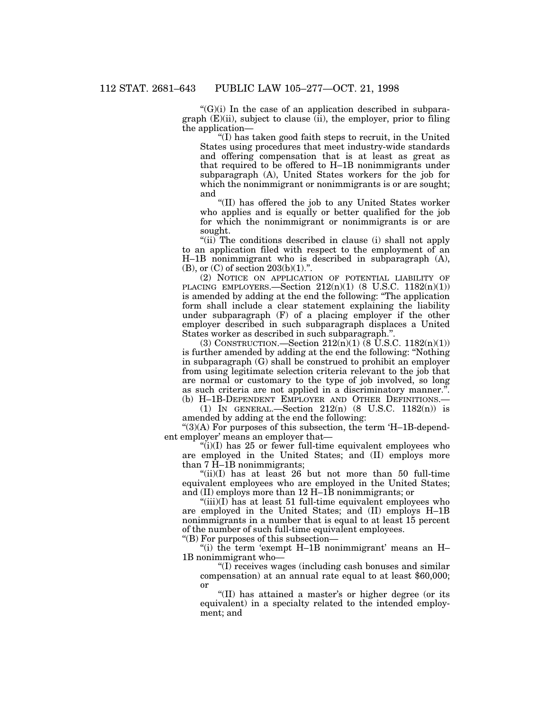$C'(G)(i)$  In the case of an application described in subparagraph  $(E)(ii)$ , subject to clause  $(ii)$ , the employer, prior to filing the application—

''(I) has taken good faith steps to recruit, in the United States using procedures that meet industry-wide standards and offering compensation that is at least as great as that required to be offered to H–1B nonimmigrants under subparagraph (A), United States workers for the job for which the nonimmigrant or nonimmigrants is or are sought; and

''(II) has offered the job to any United States worker who applies and is equally or better qualified for the job for which the nonimmigrant or nonimmigrants is or are sought.

"(ii) The conditions described in clause (i) shall not apply to an application filed with respect to the employment of an H–1B nonimmigrant who is described in subparagraph (A),  $(B)$ , or  $(C)$  of section  $203(b)(1)$ .".

(2) NOTICE ON APPLICATION OF POTENTIAL LIABILITY OF PLACING EMPLOYERS.—Section  $212(n)(1)$  (8 U.S.C.  $1182(n)(1)$ ) is amended by adding at the end the following: ''The application form shall include a clear statement explaining the liability under subparagraph (F) of a placing employer if the other employer described in such subparagraph displaces a United States worker as described in such subparagraph.''.

(3) CONSTRUCTION.—Section  $212(n)(1)$  (8 U.S.C.  $1182(n)(1)$ ) is further amended by adding at the end the following: ''Nothing in subparagraph (G) shall be construed to prohibit an employer from using legitimate selection criteria relevant to the job that are normal or customary to the type of job involved, so long as such criteria are not applied in a discriminatory manner.''. (b) H–1B-DEPENDENT EMPLOYER AND OTHER DEFINITIONS.—

(1) IN GENERAL.—Section 212(n) (8 U.S.C. 1182(n)) is amended by adding at the end the following:

" $(3)$ (A) For purposes of this subsection, the term 'H–1B-dependent employer' means an employer that—

 $\binom{1}{i}(I)$  has 25 or fewer full-time equivalent employees who are employed in the United States; and (II) employs more than 7 H–1B nonimmigrants;

" $(iii)(I)$  has at least 26 but not more than 50 full-time equivalent employees who are employed in the United States; and (II) employs more than 12 H–1B nonimmigrants; or

" $(iii)(I)$  has at least 51 full-time equivalent employees who are employed in the United States; and (II) employs H–1B nonimmigrants in a number that is equal to at least 15 percent of the number of such full-time equivalent employees.

''(B) For purposes of this subsection—

''(i) the term 'exempt H–1B nonimmigrant' means an H– 1B nonimmigrant who—

''(I) receives wages (including cash bonuses and similar compensation) at an annual rate equal to at least \$60,000; or

''(II) has attained a master's or higher degree (or its equivalent) in a specialty related to the intended employment; and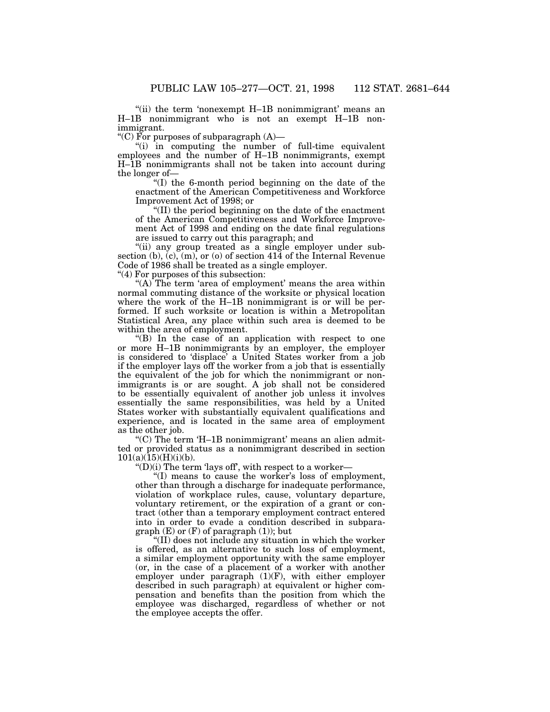''(ii) the term 'nonexempt H–1B nonimmigrant' means an H–1B nonimmigrant who is not an exempt H–1B nonimmigrant.

"(C) For purposes of subparagraph  $(A)$ —

"(i) in computing the number of full-time equivalent employees and the number of H–1B nonimmigrants, exempt H–1B nonimmigrants shall not be taken into account during the longer of—

''(I) the 6-month period beginning on the date of the enactment of the American Competitiveness and Workforce Improvement Act of 1998; or

''(II) the period beginning on the date of the enactment of the American Competitiveness and Workforce Improvement Act of 1998 and ending on the date final regulations are issued to carry out this paragraph; and

"(ii) any group treated as a single employer under subsection (b),  $(c)$ ,  $(m)$ , or (o) of section 414 of the Internal Revenue Code of 1986 shall be treated as a single employer.

"(4) For purposes of this subsection:

"(A) The term 'area of employment' means the area within normal commuting distance of the worksite or physical location where the work of the H–1B nonimmigrant is or will be performed. If such worksite or location is within a Metropolitan Statistical Area, any place within such area is deemed to be within the area of employment.

''(B) In the case of an application with respect to one or more H–1B nonimmigrants by an employer, the employer is considered to 'displace' a United States worker from a job if the employer lays off the worker from a job that is essentially the equivalent of the job for which the nonimmigrant or nonimmigrants is or are sought. A job shall not be considered to be essentially equivalent of another job unless it involves essentially the same responsibilities, was held by a United States worker with substantially equivalent qualifications and experience, and is located in the same area of employment as the other job.

" $(C)$  The term 'H-1B nonimmigrant' means an alien admitted or provided status as a nonimmigrant described in section  $101(a)(15)(H)(i)(b)$ .

" $(D)(i)$  The term 'lays off', with respect to a worker—

''(I) means to cause the worker's loss of employment, other than through a discharge for inadequate performance, violation of workplace rules, cause, voluntary departure, voluntary retirement, or the expiration of a grant or contract (other than a temporary employment contract entered into in order to evade a condition described in subpara $graph (E)$  or  $(F)$  of paragraph  $(1)$ ; but

''(II) does not include any situation in which the worker is offered, as an alternative to such loss of employment, a similar employment opportunity with the same employer (or, in the case of a placement of a worker with another employer under paragraph  $(1)(F)$ , with either employer described in such paragraph) at equivalent or higher compensation and benefits than the position from which the employee was discharged, regardless of whether or not the employee accepts the offer.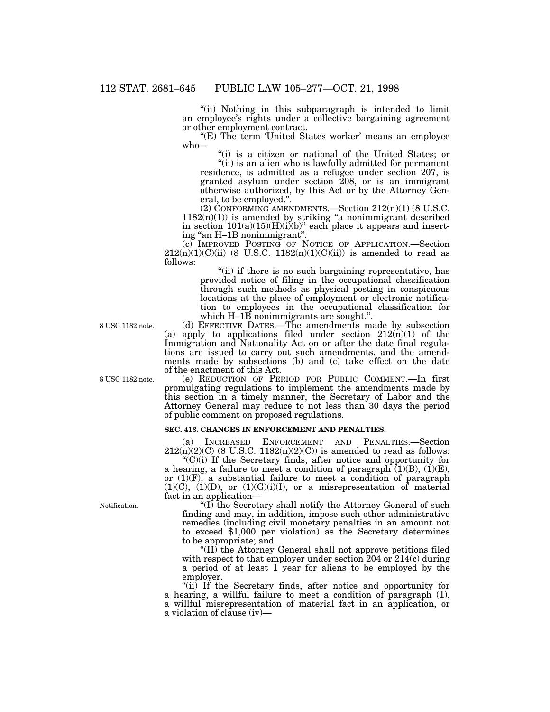"(ii) Nothing in this subparagraph is intended to limit an employee's rights under a collective bargaining agreement or other employment contract.

"(E) The term 'United States worker' means an employee who—

''(i) is a citizen or national of the United States; or "(ii) is an alien who is lawfully admitted for permanent

residence, is admitted as a refugee under section 207, is granted asylum under section 208, or is an immigrant otherwise authorized, by this Act or by the Attorney General, to be employed.''.

(2) CONFORMING AMENDMENTS. Section  $212(n)(1)$  (8 U.S.C.  $1182(n)(1)$ ) is amended by striking "a nonimmigrant described in section  $101(a)(15)(H)(i)(b)$ " each place it appears and inserting "an H-1B nonimmigrant".

(c) IMPROVED POSTING OF NOTICE OF APPLICATION.—Section  $212(n)(1)(C)(ii)$  (8 U.S.C.  $1182(n)(1)(C)(ii)$ ) is amended to read as follows:

"(ii) if there is no such bargaining representative, has provided notice of filing in the occupational classification through such methods as physical posting in conspicuous locations at the place of employment or electronic notification to employees in the occupational classification for which H–1B nonimmigrants are sought.".

(d) EFFECTIVE DATES.—The amendments made by subsection (a) apply to applications filed under section  $212(n)(1)$  of the Immigration and Nationality Act on or after the date final regulations are issued to carry out such amendments, and the amendments made by subsections (b) and (c) take effect on the date of the enactment of this Act.

(e) REDUCTION OF PERIOD FOR PUBLIC COMMENT.—In first promulgating regulations to implement the amendments made by this section in a timely manner, the Secretary of Labor and the Attorney General may reduce to not less than 30 days the period of public comment on proposed regulations.

# **SEC. 413. CHANGES IN ENFORCEMENT AND PENALTIES.**

(a) INCREASED ENFORCEMENT AND PENALTIES.—Section  $212(n)(2)(C)$  (8 U.S.C.  $1182(n)(2)(C)$ ) is amended to read as follows:

" $(C)(i)$  If the Secretary finds, after notice and opportunity for a hearing, a failure to meet a condition of paragraph  $(1)(B)$ ,  $(1)(E)$ , or  $(1)(F)$ , a substantial failure to meet a condition of paragraph  $(1)(C)$ ,  $(1)(D)$ , or  $(1)(G)(i)(I)$ , or a misrepresentation of material fact in an application—

" $(I)$  the Secretary shall notify the Attorney General of such finding and may, in addition, impose such other administrative remedies (including civil monetary penalties in an amount not to exceed \$1,000 per violation) as the Secretary determines to be appropriate; and

" $(\hat{II})$  the Attorney General shall not approve petitions filed with respect to that employer under section 204 or 214(c) during a period of at least 1 year for aliens to be employed by the employer.

''(ii) If the Secretary finds, after notice and opportunity for a hearing, a willful failure to meet a condition of paragraph (1), a willful misrepresentation of material fact in an application, or a violation of clause (iv)—

8 USC 1182 note.

8 USC 1182 note.

Notification.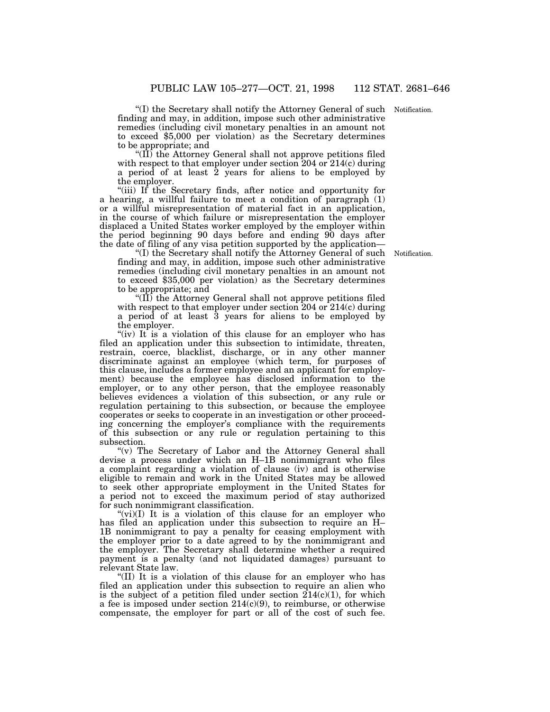"(I) the Secretary shall notify the Attorney General of such Notification. finding and may, in addition, impose such other administrative remedies (including civil monetary penalties in an amount not to exceed \$5,000 per violation) as the Secretary determines to be appropriate; and

" $(\overline{II})$  the Attorney General shall not approve petitions filed with respect to that employer under section 204 or 214(c) during a period of at least 2 years for aliens to be employed by the employer.

''(iii) If the Secretary finds, after notice and opportunity for a hearing, a willful failure to meet a condition of paragraph (1) or a willful misrepresentation of material fact in an application, in the course of which failure or misrepresentation the employer displaced a United States worker employed by the employer within the period beginning 90 days before and ending 90 days after the date of filing of any visa petition supported by the application—

Notification.

''(I) the Secretary shall notify the Attorney General of such finding and may, in addition, impose such other administrative remedies (including civil monetary penalties in an amount not to exceed \$35,000 per violation) as the Secretary determines to be appropriate; and

''(II) the Attorney General shall not approve petitions filed with respect to that employer under section 204 or 214(c) during a period of at least 3 years for aliens to be employed by the employer.

"(iv) It is a violation of this clause for an employer who has filed an application under this subsection to intimidate, threaten, restrain, coerce, blacklist, discharge, or in any other manner discriminate against an employee (which term, for purposes of this clause, includes a former employee and an applicant for employment) because the employee has disclosed information to the employer, or to any other person, that the employee reasonably believes evidences a violation of this subsection, or any rule or regulation pertaining to this subsection, or because the employee cooperates or seeks to cooperate in an investigation or other proceeding concerning the employer's compliance with the requirements of this subsection or any rule or regulation pertaining to this subsection.

"(v) The Secretary of Labor and the Attorney General shall devise a process under which an H–1B nonimmigrant who files a complaint regarding a violation of clause (iv) and is otherwise eligible to remain and work in the United States may be allowed to seek other appropriate employment in the United States for a period not to exceed the maximum period of stay authorized for such nonimmigrant classification.

"(vi)(I) It is a violation of this clause for an employer who has filed an application under this subsection to require an H– 1B nonimmigrant to pay a penalty for ceasing employment with the employer prior to a date agreed to by the nonimmigrant and the employer. The Secretary shall determine whether a required payment is a penalty (and not liquidated damages) pursuant to relevant State law.

''(II) It is a violation of this clause for an employer who has filed an application under this subsection to require an alien who is the subject of a petition filed under section  $214(c)(1)$ , for which a fee is imposed under section  $214(c)(9)$ , to reimburse, or otherwise compensate, the employer for part or all of the cost of such fee.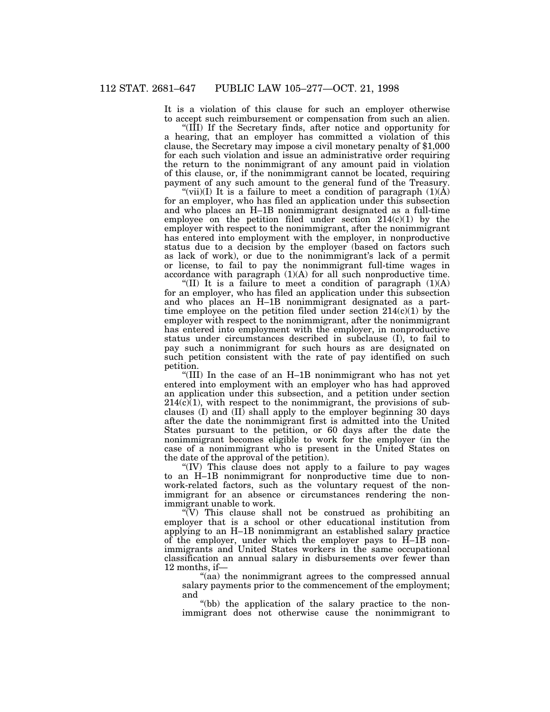It is a violation of this clause for such an employer otherwise to accept such reimbursement or compensation from such an alien.

''(III) If the Secretary finds, after notice and opportunity for a hearing, that an employer has committed a violation of this clause, the Secretary may impose a civil monetary penalty of \$1,000 for each such violation and issue an administrative order requiring the return to the nonimmigrant of any amount paid in violation of this clause, or, if the nonimmigrant cannot be located, requiring payment of any such amount to the general fund of the Treasury.

"(vii)(I) It is a failure to meet a condition of paragraph  $(1)(\dot{A})$ for an employer, who has filed an application under this subsection and who places an H–1B nonimmigrant designated as a full-time employee on the petition filed under section  $214(c)(1)$  by the employer with respect to the nonimmigrant, after the nonimmigrant has entered into employment with the employer, in nonproductive status due to a decision by the employer (based on factors such as lack of work), or due to the nonimmigrant's lack of a permit or license, to fail to pay the nonimmigrant full-time wages in accordance with paragraph  $(1)(A)$  for all such nonproductive time.

"(II) It is a failure to meet a condition of paragraph  $(1)(A)$ for an employer, who has filed an application under this subsection and who places an H–1B nonimmigrant designated as a parttime employee on the petition filed under section  $214(c)(1)$  by the employer with respect to the nonimmigrant, after the nonimmigrant has entered into employment with the employer, in nonproductive status under circumstances described in subclause (I), to fail to pay such a nonimmigrant for such hours as are designated on such petition consistent with the rate of pay identified on such petition.

''(III) In the case of an H–1B nonimmigrant who has not yet entered into employment with an employer who has had approved an application under this subsection, and a petition under section  $214(\overline{\text{c}})(1)$ , with respect to the nonimmigrant, the provisions of subclauses (I) and (II) shall apply to the employer beginning 30 days after the date the nonimmigrant first is admitted into the United States pursuant to the petition, or 60 days after the date the nonimmigrant becomes eligible to work for the employer (in the case of a nonimmigrant who is present in the United States on the date of the approval of the petition).

''(IV) This clause does not apply to a failure to pay wages to an H–1B nonimmigrant for nonproductive time due to nonwork-related factors, such as the voluntary request of the nonimmigrant for an absence or circumstances rendering the nonimmigrant unable to work.

" $(V)$  This clause shall not be construed as prohibiting an employer that is a school or other educational institution from applying to an H–1B nonimmigrant an established salary practice of the employer, under which the employer pays to H–1B nonimmigrants and United States workers in the same occupational classification an annual salary in disbursements over fewer than 12 months, if—

''(aa) the nonimmigrant agrees to the compressed annual salary payments prior to the commencement of the employment; and

"(bb) the application of the salary practice to the nonimmigrant does not otherwise cause the nonimmigrant to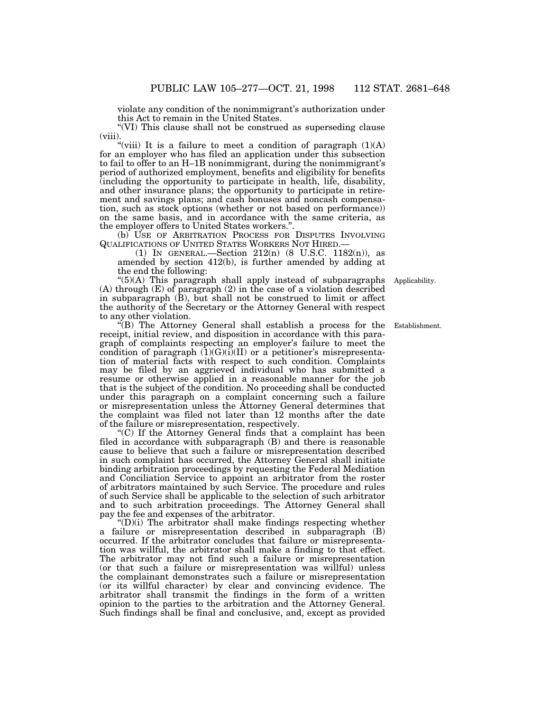violate any condition of the nonimmigrant's authorization under this Act to remain in the United States.

"(VI) This clause shall not be construed as superseding clause (viii).

"(viii) It is a failure to meet a condition of paragraph  $(1)(A)$ for an employer who has filed an application under this subsection to fail to offer to an H–1B nonimmigrant, during the nonimmigrant's period of authorized employment, benefits and eligibility for benefits (including the opportunity to participate in health, life, disability, and other insurance plans; the opportunity to participate in retirement and savings plans; and cash bonuses and noncash compensation, such as stock options (whether or not based on performance)) on the same basis, and in accordance with the same criteria, as the employer offers to United States workers."

(b) USE OF ARBITRATION PROCESS FOR DISPUTES INVOLVING QUALIFICATIONS OF UNITED STATES WORKERS NOT HIRED.—

(1) IN GENERAL.—Section 212(n) (8 U.S.C. 1182(n)), as amended by section 412(b), is further amended by adding at the end the following:

''(5)(A) This paragraph shall apply instead of subparagraphs (A) through (E) of paragraph (2) in the case of a violation described in subparagraph (B), but shall not be construed to limit or affect the authority of the Secretary or the Attorney General with respect to any other violation.

''(B) The Attorney General shall establish a process for the receipt, initial review, and disposition in accordance with this paragraph of complaints respecting an employer's failure to meet the condition of paragraph  $(1)(G)(i)(II)$  or a petitioner's misrepresentation of material facts with respect to such condition. Complaints may be filed by an aggrieved individual who has submitted a resume or otherwise applied in a reasonable manner for the job that is the subject of the condition. No proceeding shall be conducted under this paragraph on a complaint concerning such a failure or misrepresentation unless the Attorney General determines that the complaint was filed not later than 12 months after the date of the failure or misrepresentation, respectively.

"(C) If the Attorney General finds that a complaint has been filed in accordance with subparagraph (B) and there is reasonable cause to believe that such a failure or misrepresentation described in such complaint has occurred, the Attorney General shall initiate binding arbitration proceedings by requesting the Federal Mediation and Conciliation Service to appoint an arbitrator from the roster of arbitrators maintained by such Service. The procedure and rules of such Service shall be applicable to the selection of such arbitrator and to such arbitration proceedings. The Attorney General shall pay the fee and expenses of the arbitrator.

''(D)(i) The arbitrator shall make findings respecting whether a failure or misrepresentation described in subparagraph (B) occurred. If the arbitrator concludes that failure or misrepresentation was willful, the arbitrator shall make a finding to that effect. The arbitrator may not find such a failure or misrepresentation (or that such a failure or misrepresentation was willful) unless the complainant demonstrates such a failure or misrepresentation (or its willful character) by clear and convincing evidence. The arbitrator shall transmit the findings in the form of a written opinion to the parties to the arbitration and the Attorney General. Such findings shall be final and conclusive, and, except as provided

Applicability.

Establishment.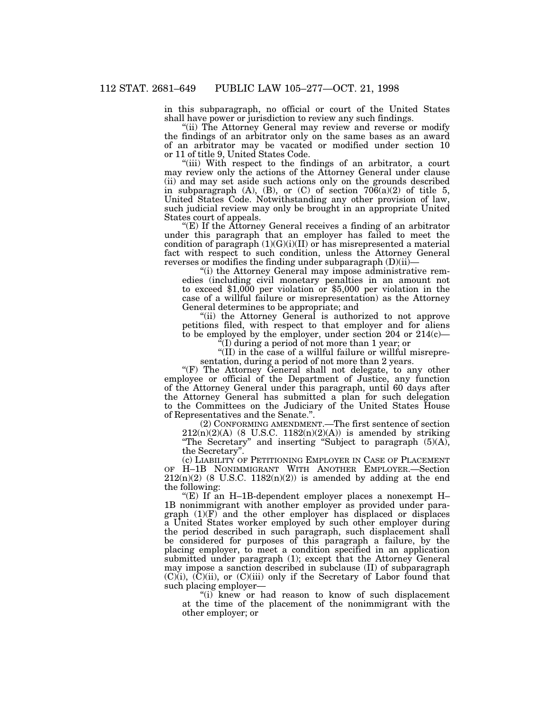in this subparagraph, no official or court of the United States shall have power or jurisdiction to review any such findings.

"(ii) The Attorney General may review and reverse or modify the findings of an arbitrator only on the same bases as an award of an arbitrator may be vacated or modified under section 10 or 11 of title 9, United States Code.

"(iii) With respect to the findings of an arbitrator, a court may review only the actions of the Attorney General under clause (ii) and may set aside such actions only on the grounds described in subparagraph  $(A)$ ,  $(B)$ , or  $(C)$  of section  $706(a)(2)$  of title 5, United States Code. Notwithstanding any other provision of law, such judicial review may only be brought in an appropriate United States court of appeals.

" $(E)$  If the Attorney General receives a finding of an arbitrator under this paragraph that an employer has failed to meet the condition of paragraph  $(1)(G)(i)(II)$  or has misrepresented a material fact with respect to such condition, unless the Attorney General reverses or modifies the finding under subparagraph (D)(ii)—

"(i) the Attorney General may impose administrative remedies (including civil monetary penalties in an amount not to exceed \$1,000 per violation or \$5,000 per violation in the case of a willful failure or misrepresentation) as the Attorney General determines to be appropriate; and

"(ii) the Attorney General is authorized to not approve petitions filed, with respect to that employer and for aliens to be employed by the employer, under section 204 or  $214(c)$ —

''(I) during a period of not more than 1 year; or

"(II) in the case of a willful failure or willful misrepresentation, during a period of not more than 2 years.

"(F) The Attorney General shall not delegate, to any other employee or official of the Department of Justice, any function of the Attorney General under this paragraph, until 60 days after the Attorney General has submitted a plan for such delegation to the Committees on the Judiciary of the United States House of Representatives and the Senate.''.

(2) CONFORMING AMENDMENT.—The first sentence of section  $212(n)(2)(A)$  (8 U.S.C.  $1182(n)(2)(A)$ ) is amended by striking ''The Secretary'' and inserting ''Subject to paragraph (5)(A), the Secretary''.

(c) LIABILITY OF PETITIONING EMPLOYER IN CASE OF PLACEMENT OF H–1B NONIMMIGRANT WITH ANOTHER EMPLOYER.—Section  $212(n)(2)$  (8 U.S.C.  $1182(n)(2)$ ) is amended by adding at the end the following:

"(E) If an H-1B-dependent employer places a nonexempt  $H-$ 1B nonimmigrant with another employer as provided under paragraph (1)(F) and the other employer has displaced or displaces a United States worker employed by such other employer during the period described in such paragraph, such displacement shall be considered for purposes of this paragraph a failure, by the placing employer, to meet a condition specified in an application submitted under paragraph (1); except that the Attorney General may impose a sanction described in subclause (II) of subparagraph  $(C)(i)$ ,  $(\overline{C})(ii)$ , or  $(C)(iii)$  only if the Secretary of Labor found that such placing employer—

''(i) knew or had reason to know of such displacement at the time of the placement of the nonimmigrant with the other employer; or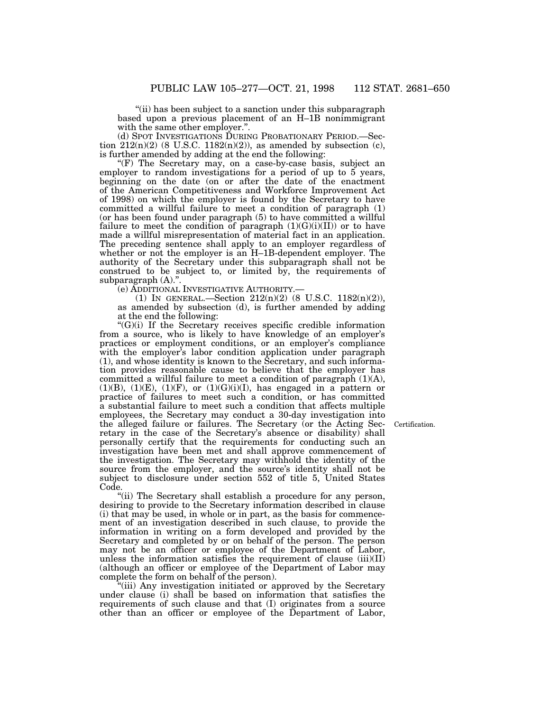"(ii) has been subject to a sanction under this subparagraph based upon a previous placement of an H–1B nonimmigrant with the same other employer.''.

(d) SPOT INVESTIGATIONS DURING PROBATIONARY PERIOD.—Section  $212(n)(2)$  (8 U.S.C. 1182(n)(2)), as amended by subsection (c), is further amended by adding at the end the following:

''(F) The Secretary may, on a case-by-case basis, subject an employer to random investigations for a period of up to 5 years, beginning on the date (on or after the date of the enactment of the American Competitiveness and Workforce Improvement Act of 1998) on which the employer is found by the Secretary to have committed a willful failure to meet a condition of paragraph (1) (or has been found under paragraph (5) to have committed a willful failure to meet the condition of paragraph  $(1)(G)(i)(II)$  or to have made a willful misrepresentation of material fact in an application. The preceding sentence shall apply to an employer regardless of whether or not the employer is an H–1B-dependent employer. The authority of the Secretary under this subparagraph shall not be construed to be subject to, or limited by, the requirements of subparagraph (A).''.

(e) ADDITIONAL INVESTIGATIVE AUTHORITY.—

(1) IN GENERAL.—Section 212(n)(2) (8 U.S.C. 1182(n)(2)), as amended by subsection (d), is further amended by adding at the end the following:

 $(C)(i)$  If the Secretary receives specific credible information from a source, who is likely to have knowledge of an employer's practices or employment conditions, or an employer's compliance with the employer's labor condition application under paragraph (1), and whose identity is known to the Secretary, and such information provides reasonable cause to believe that the employer has committed a willful failure to meet a condition of paragraph  $(1)(A)$ ,  $(1)(B)$ ,  $(1)(E)$ ,  $(1)(F)$ , or  $(1)(G)(i)(I)$ , has engaged in a pattern or practice of failures to meet such a condition, or has committed a substantial failure to meet such a condition that affects multiple employees, the Secretary may conduct a 30-day investigation into the alleged failure or failures. The Secretary (or the Acting Secretary in the case of the Secretary's absence or disability) shall personally certify that the requirements for conducting such an investigation have been met and shall approve commencement of the investigation. The Secretary may withhold the identity of the source from the employer, and the source's identity shall not be subject to disclosure under section 552 of title 5, United States Code.

"(ii) The Secretary shall establish a procedure for any person, desiring to provide to the Secretary information described in clause (i) that may be used, in whole or in part, as the basis for commencement of an investigation described in such clause, to provide the information in writing on a form developed and provided by the Secretary and completed by or on behalf of the person. The person may not be an officer or employee of the Department of Labor, unless the information satisfies the requirement of clause (iii)(II) (although an officer or employee of the Department of Labor may complete the form on behalf of the person).

''(iii) Any investigation initiated or approved by the Secretary under clause (i) shall be based on information that satisfies the requirements of such clause and that (I) originates from a source other than an officer or employee of the Department of Labor,

Certification.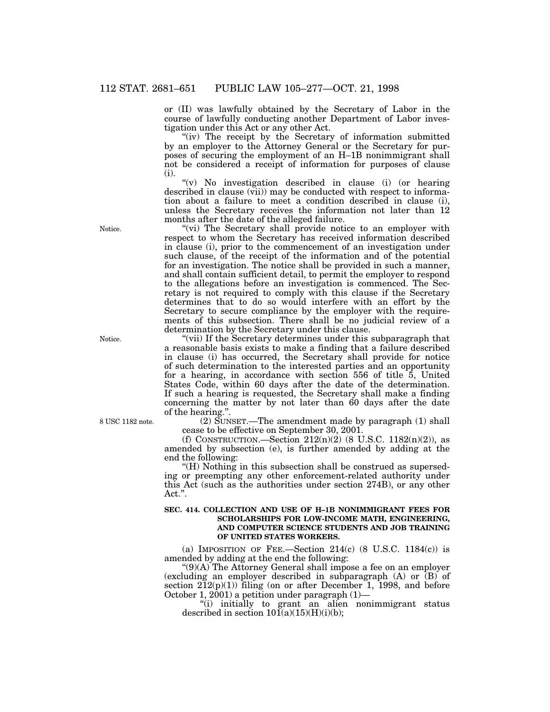or (II) was lawfully obtained by the Secretary of Labor in the course of lawfully conducting another Department of Labor investigation under this Act or any other Act.

"(iv) The receipt by the Secretary of information submitted by an employer to the Attorney General or the Secretary for purposes of securing the employment of an H–1B nonimmigrant shall not be considered a receipt of information for purposes of clause (i).

" $(v)$  No investigation described in clause (i) (or hearing described in clause (vii)) may be conducted with respect to information about a failure to meet a condition described in clause (i), unless the Secretary receives the information not later than 12 months after the date of the alleged failure.

"(vi) The Secretary shall provide notice to an employer with respect to whom the Secretary has received information described in clause (i), prior to the commencement of an investigation under such clause, of the receipt of the information and of the potential for an investigation. The notice shall be provided in such a manner, and shall contain sufficient detail, to permit the employer to respond to the allegations before an investigation is commenced. The Secretary is not required to comply with this clause if the Secretary determines that to do so would interfere with an effort by the Secretary to secure compliance by the employer with the requirements of this subsection. There shall be no judicial review of a determination by the Secretary under this clause.

''(vii) If the Secretary determines under this subparagraph that a reasonable basis exists to make a finding that a failure described in clause (i) has occurred, the Secretary shall provide for notice of such determination to the interested parties and an opportunity for a hearing, in accordance with section 556 of title  $\overline{5}$ , United States Code, within 60 days after the date of the determination. If such a hearing is requested, the Secretary shall make a finding concerning the matter by not later than 60 days after the date of the hearing.'

(2) SUNSET.—The amendment made by paragraph (1) shall cease to be effective on September 30, 2001.

(f) CONSTRUCTION.—Section  $212(n)(2)$  (8 U.S.C.  $1182(n)(2)$ ), as amended by subsection (e), is further amended by adding at the end the following:

''(H) Nothing in this subsection shall be construed as superseding or preempting any other enforcement-related authority under this Act (such as the authorities under section 274B), or any other Act.''.

#### **SEC. 414. COLLECTION AND USE OF H–1B NONIMMIGRANT FEES FOR SCHOLARSHIPS FOR LOW-INCOME MATH, ENGINEERING, AND COMPUTER SCIENCE STUDENTS AND JOB TRAINING OF UNITED STATES WORKERS.**

(a) IMPOSITION OF FEE.—Section  $214(c)$  (8 U.S.C.  $1184(c)$ ) is amended by adding at the end the following:

" $(9)(A)$  The Attorney General shall impose a fee on an employer (excluding an employer described in subparagraph (A) or (B) of section  $2\overline{1}2(p)(1)$  filing (on or after December 1, 1998, and before October 1, 2001) a petition under paragraph  $(1)$ —

''(i) initially to grant an alien nonimmigrant status described in section  $10I(a)(15)(H)(i)(b)$ ;

Notice.

Notice.

8 USC 1182 note.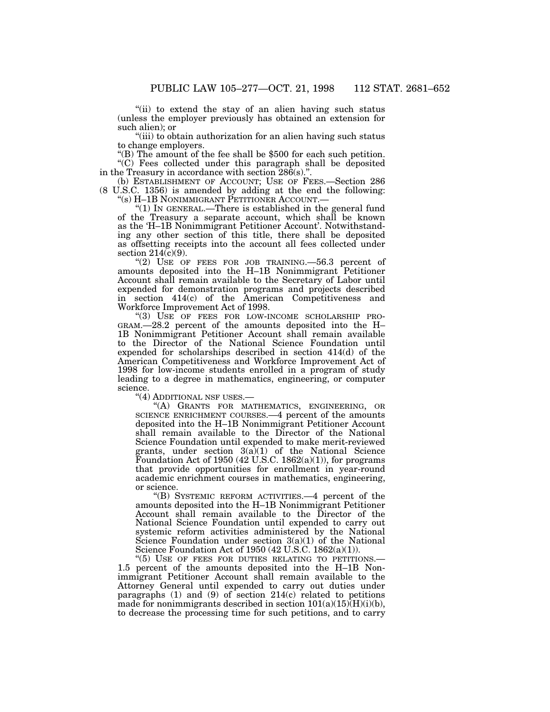''(ii) to extend the stay of an alien having such status (unless the employer previously has obtained an extension for such alien); or

''(iii) to obtain authorization for an alien having such status to change employers.

''(B) The amount of the fee shall be \$500 for each such petition. ''(C) Fees collected under this paragraph shall be deposited in the Treasury in accordance with section 286(s).''.

(b) ESTABLISHMENT OF ACCOUNT; USE OF FEES.—Section 286 (8 U.S.C. 1356) is amended by adding at the end the following: ''(s) H–1B NONIMMIGRANT PETITIONER ACCOUNT.—

''(1) IN GENERAL.—There is established in the general fund of the Treasury a separate account, which shall be known as the 'H–1B Nonimmigrant Petitioner Account'. Notwithstanding any other section of this title, there shall be deposited as offsetting receipts into the account all fees collected under section  $214(c)(9)$ .

''(2) USE OF FEES FOR JOB TRAINING.—56.3 percent of amounts deposited into the H–1B Nonimmigrant Petitioner Account shall remain available to the Secretary of Labor until expended for demonstration programs and projects described in section 414(c) of the American Competitiveness and Workforce Improvement Act of 1998.

''(3) USE OF FEES FOR LOW-INCOME SCHOLARSHIP PRO-GRAM.—28.2 percent of the amounts deposited into the H– 1B Nonimmigrant Petitioner Account shall remain available to the Director of the National Science Foundation until expended for scholarships described in section 414(d) of the American Competitiveness and Workforce Improvement Act of 1998 for low-income students enrolled in a program of study leading to a degree in mathematics, engineering, or computer science.

''(4) ADDITIONAL NSF USES.—

''(A) GRANTS FOR MATHEMATICS, ENGINEERING, OR SCIENCE ENRICHMENT COURSES.—4 percent of the amounts deposited into the H–1B Nonimmigrant Petitioner Account shall remain available to the Director of the National Science Foundation until expended to make merit-reviewed grants, under section  $3(a)(1)$  of the National Science Foundation Act of 1950 (42 U.S.C. 1862(a)(1)), for programs that provide opportunities for enrollment in year-round academic enrichment courses in mathematics, engineering, or science.

''(B) SYSTEMIC REFORM ACTIVITIES.—4 percent of the amounts deposited into the H–1B Nonimmigrant Petitioner Account shall remain available to the Director of the National Science Foundation until expended to carry out systemic reform activities administered by the National Science Foundation under section 3(a)(1) of the National Science Foundation Act of 1950 (42 U.S.C. 1862(a)(1)).

"(5) USE OF FEES FOR DUTIES RELATING TO PETITIONS.-1.5 percent of the amounts deposited into the H–1B Nonimmigrant Petitioner Account shall remain available to the Attorney General until expended to carry out duties under paragraphs  $(1)$  and  $(9)$  of section  $214(c)$  related to petitions made for nonimmigrants described in section  $101(a)(15)(H)(i)(b)$ , to decrease the processing time for such petitions, and to carry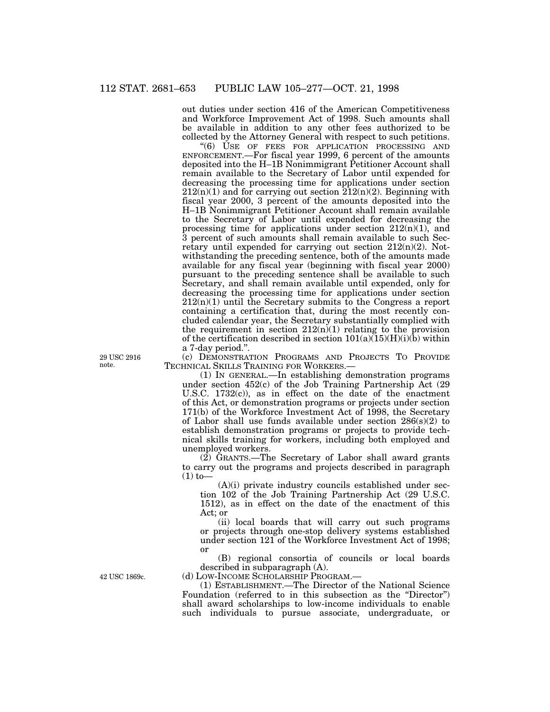out duties under section 416 of the American Competitiveness and Workforce Improvement Act of 1998. Such amounts shall be available in addition to any other fees authorized to be collected by the Attorney General with respect to such petitions.

''(6) USE OF FEES FOR APPLICATION PROCESSING AND ENFORCEMENT.—For fiscal year 1999, 6 percent of the amounts deposited into the H–1B Nonimmigrant Petitioner Account shall remain available to the Secretary of Labor until expended for decreasing the processing time for applications under section  $212(n)(1)$  and for carrying out section  $212(n)(2)$ . Beginning with fiscal year 2000, 3 percent of the amounts deposited into the H–1B Nonimmigrant Petitioner Account shall remain available to the Secretary of Labor until expended for decreasing the processing time for applications under section  $212(n)(1)$ , and 3 percent of such amounts shall remain available to such Secretary until expended for carrying out section  $212(n)(2)$ . Notwithstanding the preceding sentence, both of the amounts made available for any fiscal year (beginning with fiscal year 2000) pursuant to the preceding sentence shall be available to such Secretary, and shall remain available until expended, only for decreasing the processing time for applications under section  $212(n)(1)$  until the Secretary submits to the Congress a report containing a certification that, during the most recently concluded calendar year, the Secretary substantially complied with the requirement in section  $212(n)(1)$  relating to the provision of the certification described in section  $101(a)(15)(H)(i)(b)$  within a 7-day period.''.

(c) DEMONSTRATION PROGRAMS AND PROJECTS TO PROVIDE TECHNICAL SKILLS TRAINING FOR WORKERS.—

(1) IN GENERAL.—In establishing demonstration programs under section 452(c) of the Job Training Partnership Act (29 U.S.C. 1732(c)), as in effect on the date of the enactment of this Act, or demonstration programs or projects under section 171(b) of the Workforce Investment Act of 1998, the Secretary of Labor shall use funds available under section  $286(s)(2)$  to establish demonstration programs or projects to provide technical skills training for workers, including both employed and unemployed workers.

 $(2)$  GRANTS.—The Secretary of Labor shall award grants to carry out the programs and projects described in paragraph  $(1)$  to-

 $(A)(i)$  private industry councils established under section 102 of the Job Training Partnership Act (29 U.S.C. 1512), as in effect on the date of the enactment of this Act; or

(ii) local boards that will carry out such programs or projects through one-stop delivery systems established under section 121 of the Workforce Investment Act of 1998; or

(B) regional consortia of councils or local boards described in subparagraph (A).

(d) LOW-INCOME SCHOLARSHIP PROGRAM.—

(1) ESTABLISHMENT.—The Director of the National Science Foundation (referred to in this subsection as the "Director") shall award scholarships to low-income individuals to enable such individuals to pursue associate, undergraduate, or

29 USC 2916 note.

42 USC 1869c.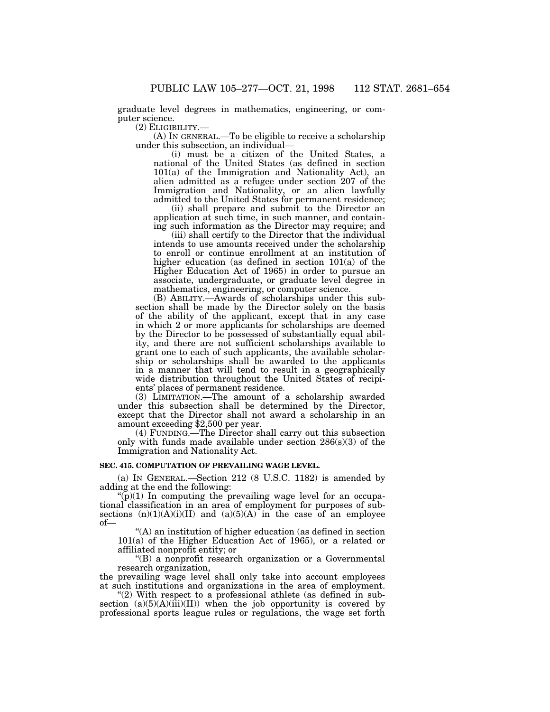graduate level degrees in mathematics, engineering, or computer science.

(2) ELIGIBILITY.— (A) IN GENERAL.—To be eligible to receive a scholarship under this subsection, an individual—

(i) must be a citizen of the United States, a national of the United States (as defined in section 101(a) of the Immigration and Nationality Act), an alien admitted as a refugee under section 207 of the Immigration and Nationality, or an alien lawfully admitted to the United States for permanent residence;

(ii) shall prepare and submit to the Director an application at such time, in such manner, and containing such information as the Director may require; and

(iii) shall certify to the Director that the individual intends to use amounts received under the scholarship to enroll or continue enrollment at an institution of higher education (as defined in section 101(a) of the Higher Education Act of 1965) in order to pursue an associate, undergraduate, or graduate level degree in mathematics, engineering, or computer science.

(B) ABILITY.—Awards of scholarships under this subsection shall be made by the Director solely on the basis of the ability of the applicant, except that in any case in which 2 or more applicants for scholarships are deemed by the Director to be possessed of substantially equal ability, and there are not sufficient scholarships available to grant one to each of such applicants, the available scholarship or scholarships shall be awarded to the applicants in a manner that will tend to result in a geographically wide distribution throughout the United States of recipients' places of permanent residence.

(3) LIMITATION.—The amount of a scholarship awarded under this subsection shall be determined by the Director, except that the Director shall not award a scholarship in an amount exceeding \$2,500 per year.

(4) FUNDING.—The Director shall carry out this subsection only with funds made available under section 286(s)(3) of the Immigration and Nationality Act.

#### **SEC. 415. COMPUTATION OF PREVAILING WAGE LEVEL.**

(a) IN GENERAL.—Section 212 (8 U.S.C. 1182) is amended by adding at the end the following:

 $\mathcal{L}(p)(1)$  In computing the prevailing wage level for an occupational classification in an area of employment for purposes of subsections  $(n)(1)(A)(i)(II)$  and  $(a)(5)(A)$  in the case of an employee of—

''(A) an institution of higher education (as defined in section 101(a) of the Higher Education Act of 1965), or a related or affiliated nonprofit entity; or

''(B) a nonprofit research organization or a Governmental research organization,

the prevailing wage level shall only take into account employees at such institutions and organizations in the area of employment.

" $(2)$  With respect to a professional athlete (as defined in subsection  $(a)(5)(A)(iii)(II))$  when the job opportunity is covered by professional sports league rules or regulations, the wage set forth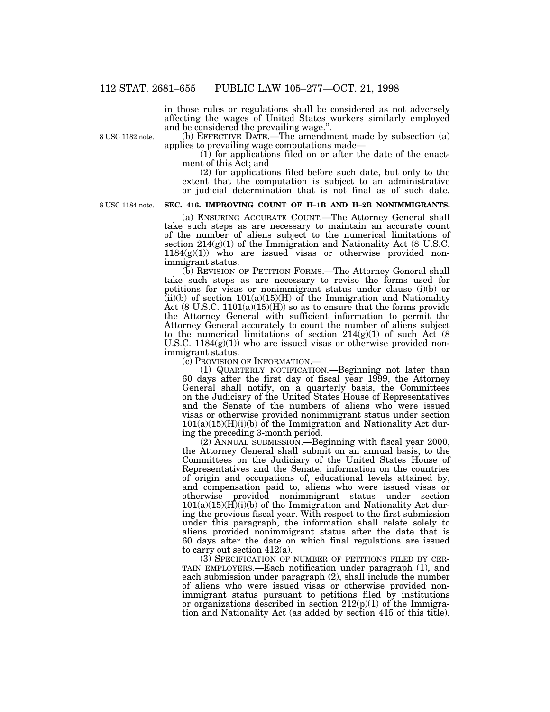in those rules or regulations shall be considered as not adversely affecting the wages of United States workers similarly employed and be considered the prevailing wage.''.

8 USC 1182 note.

(b) EFFECTIVE DATE.—The amendment made by subsection (a) applies to prevailing wage computations made—

(1) for applications filed on or after the date of the enactment of this Act; and

(2) for applications filed before such date, but only to the extent that the computation is subject to an administrative or judicial determination that is not final as of such date.

8 USC 1184 note.

# **SEC. 416. IMPROVING COUNT OF H–1B AND H–2B NONIMMIGRANTS.**

(a) ENSURING ACCURATE COUNT.—The Attorney General shall take such steps as are necessary to maintain an accurate count of the number of aliens subject to the numerical limitations of section  $214(g)(1)$  of the Immigration and Nationality Act (8 U.S.C.  $1184(g)(1)$  who are issued visas or otherwise provided nonimmigrant status.

(b) REVISION OF PETITION FORMS.—The Attorney General shall take such steps as are necessary to revise the forms used for petitions for visas or nonimmigrant status under clause (i)(b) or  $(iii)(b)$  of section  $101(a)(15)(H)$  of the Immigration and Nationality Act  $(8 \text{ U.S.C. } 1101(a)(15)(H))$  so as to ensure that the forms provide the Attorney General with sufficient information to permit the Attorney General accurately to count the number of aliens subject to the numerical limitations of section  $214(g)(1)$  of such Act (8) U.S.C.  $1184(g)(1)$ ) who are issued visas or otherwise provided nonimmigrant status.

(c) PROVISION OF INFORMATION.—

(1) QUARTERLY NOTIFICATION.—Beginning not later than 60 days after the first day of fiscal year 1999, the Attorney General shall notify, on a quarterly basis, the Committees on the Judiciary of the United States House of Representatives and the Senate of the numbers of aliens who were issued visas or otherwise provided nonimmigrant status under section  $101(a)(15)(H)(i)$  of the Immigration and Nationality Act during the preceding 3-month period.

(2) ANNUAL SUBMISSION.—Beginning with fiscal year 2000, the Attorney General shall submit on an annual basis, to the Committees on the Judiciary of the United States House of Representatives and the Senate, information on the countries of origin and occupations of, educational levels attained by, and compensation paid to, aliens who were issued visas or otherwise provided nonimmigrant status under section  $101(a)(15)(H)(i)$  of the Immigration and Nationality Act during the previous fiscal year. With respect to the first submission under this paragraph, the information shall relate solely to aliens provided nonimmigrant status after the date that is 60 days after the date on which final regulations are issued to carry out section 412(a).

(3) SPECIFICATION OF NUMBER OF PETITIONS FILED BY CER-TAIN EMPLOYERS.—Each notification under paragraph (1), and each submission under paragraph (2), shall include the number of aliens who were issued visas or otherwise provided nonimmigrant status pursuant to petitions filed by institutions or organizations described in section  $212(p)(1)$  of the Immigration and Nationality Act (as added by section 415 of this title).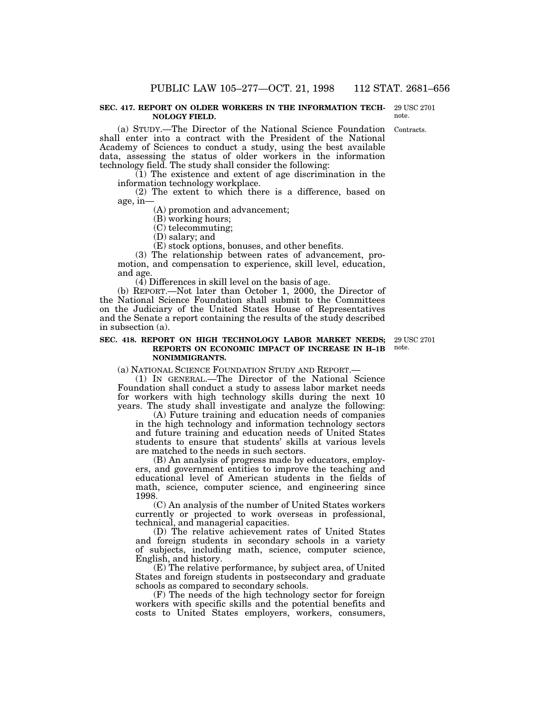#### **SEC. 417. REPORT ON OLDER WORKERS IN THE INFORMATION TECH-NOLOGY FIELD.** 29 USC 2701 note.

Contracts.

(a) STUDY.—The Director of the National Science Foundation shall enter into a contract with the President of the National Academy of Sciences to conduct a study, using the best available data, assessing the status of older workers in the information technology field. The study shall consider the following:

(1) The existence and extent of age discrimination in the information technology workplace.

(2) The extent to which there is a difference, based on age, in—

(A) promotion and advancement;

(B) working hours;

(C) telecommuting;

(D) salary; and

(E) stock options, bonuses, and other benefits.

(3) The relationship between rates of advancement, promotion, and compensation to experience, skill level, education, and age.

(4) Differences in skill level on the basis of age.

(b) REPORT.—Not later than October 1, 2000, the Director of the National Science Foundation shall submit to the Committees on the Judiciary of the United States House of Representatives and the Senate a report containing the results of the study described in subsection (a).

# **SEC. 418. REPORT ON HIGH TECHNOLOGY LABOR MARKET NEEDS; REPORTS ON ECONOMIC IMPACT OF INCREASE IN H–1B NONIMMIGRANTS.**

(a) NATIONAL SCIENCE FOUNDATION STUDY AND REPORT.—

(1) IN GENERAL.—The Director of the National Science Foundation shall conduct a study to assess labor market needs for workers with high technology skills during the next 10 years. The study shall investigate and analyze the following:

(A) Future training and education needs of companies in the high technology and information technology sectors and future training and education needs of United States students to ensure that students' skills at various levels are matched to the needs in such sectors.

(B) An analysis of progress made by educators, employers, and government entities to improve the teaching and educational level of American students in the fields of math, science, computer science, and engineering since 1998.

(C) An analysis of the number of United States workers currently or projected to work overseas in professional, technical, and managerial capacities.

(D) The relative achievement rates of United States and foreign students in secondary schools in a variety of subjects, including math, science, computer science, English, and history.

(E) The relative performance, by subject area, of United States and foreign students in postsecondary and graduate schools as compared to secondary schools.

(F) The needs of the high technology sector for foreign workers with specific skills and the potential benefits and costs to United States employers, workers, consumers,

29 USC 2701 note.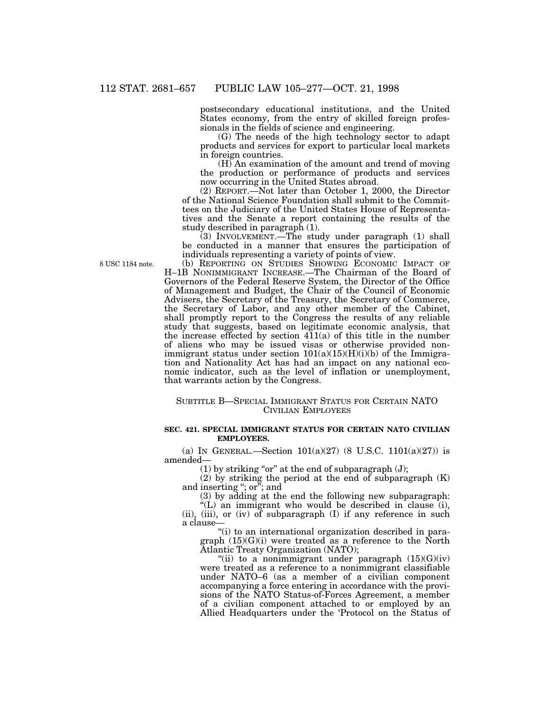postsecondary educational institutions, and the United States economy, from the entry of skilled foreign professionals in the fields of science and engineering.

(G) The needs of the high technology sector to adapt products and services for export to particular local markets in foreign countries.

 $(H)$  An examination of the amount and trend of moving the production or performance of products and services now occurring in the United States abroad.

(2) REPORT.—Not later than October 1, 2000, the Director of the National Science Foundation shall submit to the Committees on the Judiciary of the United States House of Representatives and the Senate a report containing the results of the study described in paragraph (1).

(3) INVOLVEMENT.—The study under paragraph (1) shall be conducted in a manner that ensures the participation of individuals representing a variety of points of view.

(b) REPORTING ON STUDIES SHOWING ECONOMIC IMPACT OF H–1B NONIMMIGRANT INCREASE.—The Chairman of the Board of Governors of the Federal Reserve System, the Director of the Office of Management and Budget, the Chair of the Council of Economic Advisers, the Secretary of the Treasury, the Secretary of Commerce, the Secretary of Labor, and any other member of the Cabinet, shall promptly report to the Congress the results of any reliable study that suggests, based on legitimate economic analysis, that the increase effected by section 411(a) of this title in the number of aliens who may be issued visas or otherwise provided nonimmigrant status under section  $101(a)(15)(H)(i)(b)$  of the Immigration and Nationality Act has had an impact on any national economic indicator, such as the level of inflation or unemployment, that warrants action by the Congress.

# SUBTITLE B—SPECIAL IMMIGRANT STATUS FOR CERTAIN NATO CIVILIAN EMPLOYEES

# **SEC. 421. SPECIAL IMMIGRANT STATUS FOR CERTAIN NATO CIVILIAN EMPLOYEES.**

(a) IN GENERAL.—Section  $101(a)(27)$  (8 U.S.C.  $1101(a)(27)$ ) is amended—

 $(1)$  by striking "or" at the end of subparagraph  $(J)$ ;

 $(2)$  by striking the period at the end of subparagraph  $(K)$ and inserting ''; or''; and

(3) by adding at the end the following new subparagraph:

"(L) an immigrant who would be described in clause (i), (ii), (iii), or (iv) of subparagraph (I) if any reference in such a clause—

''(i) to an international organization described in paragraph (15)(G)(i) were treated as a reference to the North Atlantic Treaty Organization (NATO);

"(ii) to a nonimmigrant under paragraph  $(15)(G)(iv)$ were treated as a reference to a nonimmigrant classifiable under NATO–6 (as a member of a civilian component accompanying a force entering in accordance with the provisions of the NATO Status-of-Forces Agreement, a member of a civilian component attached to or employed by an Allied Headquarters under the 'Protocol on the Status of

8 USC 1184 note.